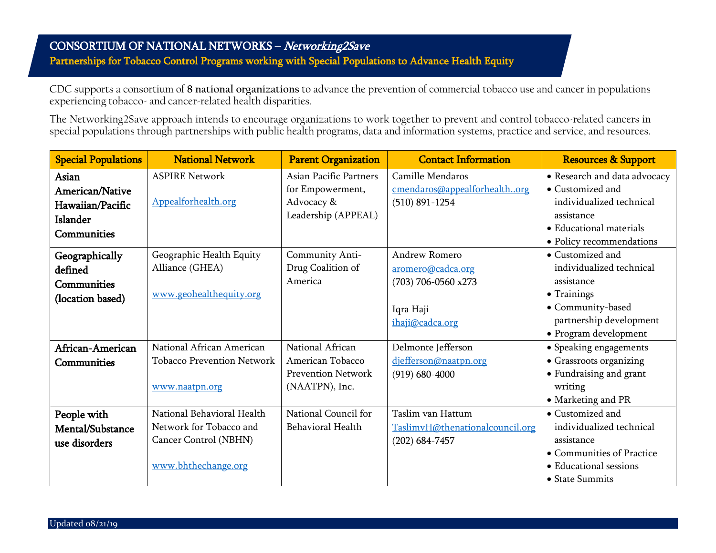## CONSORTIUM OF NATIONAL NETWORKS – Networking2Save Partnerships for Tobacco Control Programs working with Special Populations to Advance Health Equity

CDC supports a consortium of **8 national organizations** to advance the prevention of commercial tobacco use and cancer in populations experiencing tobacco- and cancer-related health disparities.

The Networking2Save approach intends to encourage organizations to work together to prevent and control tobacco-related cancers in special populations through partnerships with public health programs, data and information systems, practice and service, and resources.

| <b>Special Populations</b> | <b>National Network</b>           | <b>Parent Organization</b>    | <b>Contact Information</b>      | <b>Resources &amp; Support</b> |
|----------------------------|-----------------------------------|-------------------------------|---------------------------------|--------------------------------|
| Asian                      | <b>ASPIRE Network</b>             | <b>Asian Pacific Partners</b> | Camille Mendaros                | • Research and data advocacy   |
| <b>American/Native</b>     |                                   | for Empowerment,              | cmendaros@appealforhealthorg    | • Customized and               |
| Hawaiian/Pacific           | Appealforhealth.org               | Advocacy &                    | $(510)$ 891-1254                | individualized technical       |
| Islander                   |                                   | Leadership (APPEAL)           |                                 | assistance                     |
| Communities                |                                   |                               |                                 | • Educational materials        |
|                            |                                   |                               |                                 | • Policy recommendations       |
| Geographically             | Geographic Health Equity          | Community Anti-               | <b>Andrew Romero</b>            | • Customized and               |
| defined                    | Alliance (GHEA)                   | Drug Coalition of             | aromero@cadca.org               | individualized technical       |
| Communities                |                                   | America                       | (703) 706-0560 x273             | assistance                     |
| (location based)           | www.geohealthequity.org           |                               |                                 | • Trainings                    |
|                            |                                   |                               | Iqra Haji                       | • Community-based              |
|                            |                                   |                               | ihaji@cadca.org                 | partnership development        |
|                            |                                   |                               |                                 | • Program development          |
| African-American           | National African American         | National African              | Delmonte Jefferson              | • Speaking engagements         |
| <b>Communities</b>         | <b>Tobacco Prevention Network</b> | American Tobacco              | djefferson@naatpn.org           | • Grassroots organizing        |
|                            |                                   | <b>Prevention Network</b>     | $(919) 680 - 4000$              | • Fundraising and grant        |
|                            | www.naatpn.org                    | (NAATPN), Inc.                |                                 | writing                        |
|                            |                                   |                               |                                 | • Marketing and PR             |
| People with                | National Behavioral Health        | National Council for          | Taslim van Hattum               | • Customized and               |
| Mental/Substance           | Network for Tobacco and           | Behavioral Health             | TaslimvH@thenationalcouncil.org | individualized technical       |
| use disorders              | Cancer Control (NBHN)             |                               | $(202) 684 - 7457$              | assistance                     |
|                            |                                   |                               |                                 | • Communities of Practice      |
|                            | www.bhthechange.org               |                               |                                 | • Educational sessions         |
|                            |                                   |                               |                                 | • State Summits                |